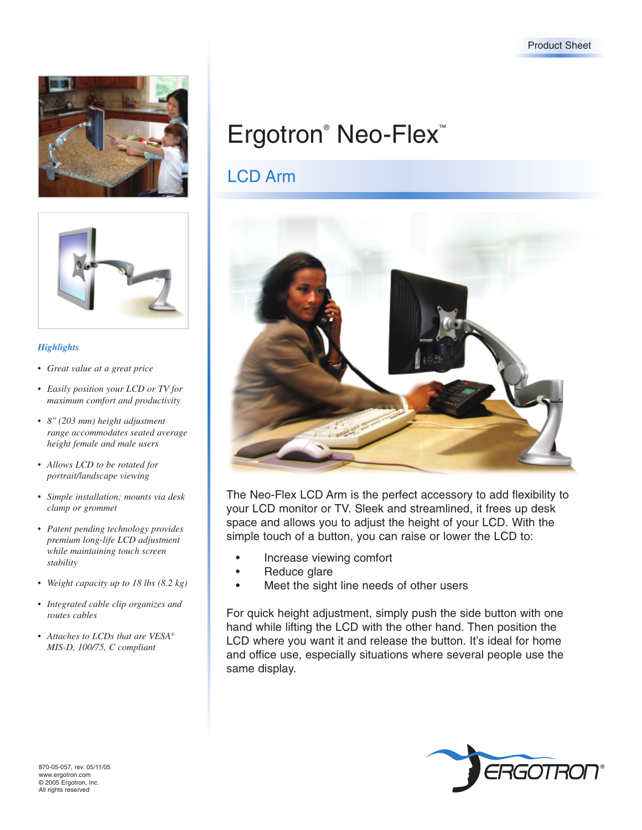



### *Highlights*

- *Great value at a great price*
- *Easily position your LCD or TV for maximum comfort and productivity*
- *8" (203 mm) height adjustment range accommodates seated average height female and male users*
- *Allows LCD to be rotated for portrait/landscape viewing*
- *Simple installation; mounts via desk clamp or grommet*
- *Patent pending technology provides premium long-life LCD adjustment while maintaining touch screen stability*
- *Weight capacity up to 18 lbs (8.2 kg)*
- *Integrated cable clip organizes and routes cables*
- *Attaches to LCDs that are VESA® MIS-D, 100/75, C compliant*

# LCD Arm



The Neo-Flex LCD Arm is the perfect accessory to add flexibility to your LCD monitor or TV. Sleek and streamlined, it frees up desk space and allows you to adjust the height of your LCD. With the simple touch of a button, you can raise or lower the LCD to:

- Increase viewing comfort
- Reduce glare
- Meet the sight line needs of other users

For quick height adjustment, simply push the side button with one hand while lifting the LCD with the other hand. Then position the LCD where you want it and release the button. It's ideal for home and office use, especially situations where several people use the same display.